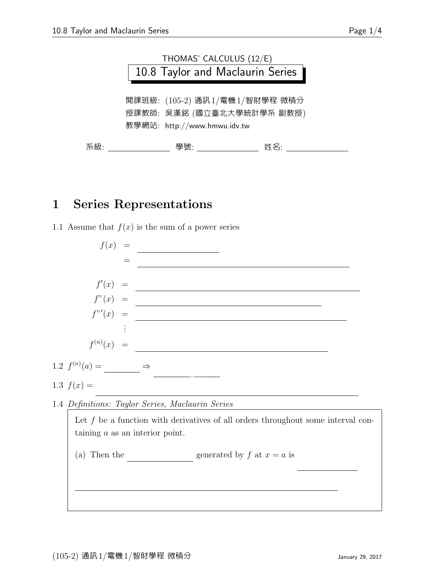

## 1 Series Representations

1.1 Assume that  $f(x)$  is the sum of a power series

| f(x)                              |                                                                                    |
|-----------------------------------|------------------------------------------------------------------------------------|
|                                   |                                                                                    |
| $f'(x) =$                         |                                                                                    |
| $f''(x) =$                        |                                                                                    |
| $f''(x) =$                        |                                                                                    |
|                                   |                                                                                    |
| $f^{(n)}(x)\ \ =$                 |                                                                                    |
| 1.2 $f^{(n)}(a) =$ $\implies$     |                                                                                    |
| 1.3 $f(x) =$                      |                                                                                    |
|                                   | 1.4 Definitions: Taylor Series, Maclaurin Series                                   |
| taining $a$ as an interior point. | Let $f$ be a function with derivatives of all orders throughout some interval con- |
|                                   | (a) Then the generated by $f$ at $x = a$ is                                        |
|                                   |                                                                                    |
|                                   |                                                                                    |
|                                   |                                                                                    |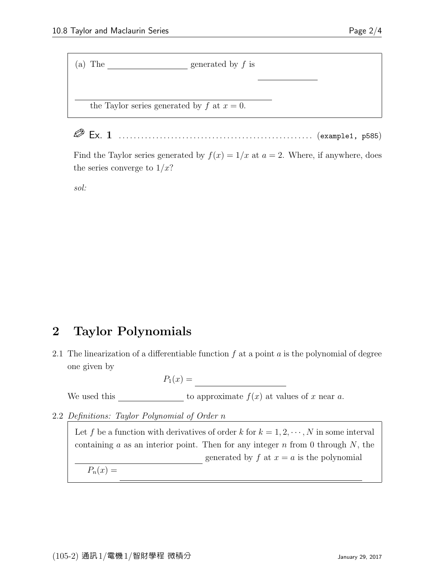(a) The generated by f is 2 <u>n</u> the Taylor series generated by f at  $x = 0$ .

Ex. 1 . . . . . . . . . . . . . . . . . . . . . . . . . . . . . . . . . . . . . . . . . . . . . . . . . . . . (example1, p585)

Find the Taylor series generated by  $f(x) = 1/x$  at  $a = 2$ . Where, if anywhere, does the series converge to  $1/x$ ?

sol:

## 2 Taylor Polynomials

2.1 The linearization of a differentiable function  $f$  at a point  $a$  is the polynomial of degree one given by

 $P_1(x) =$ 

We used this to approximate  $f(x)$  at values of x near a.

2.2 Definitions: Taylor Polynomial of Order n

Let f be a function with derivatives of order k for  $k = 1, 2, \dots, N$  in some interval containing  $a$  as an interior point. Then for any integer  $n$  from 0 through  $N$ , the  $\begin{aligned} \text{generated by } f \text{ at } x = a \text{ is the polynomial} \end{aligned}$  $P_n(x) =$  $\overline{\phantom{a}}$ 2. (x − a)<br>2. (x − a)<br>2. (x − a) n!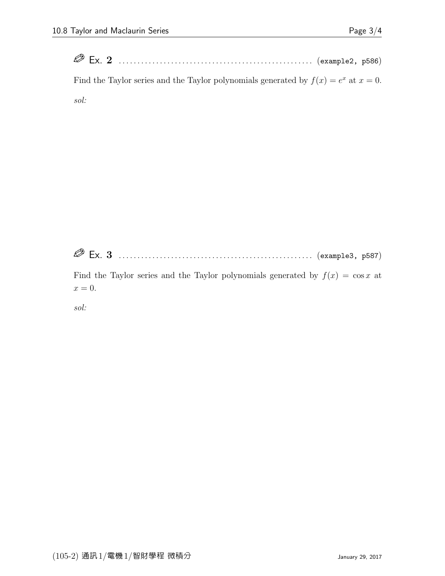|      | Find the Taylor series and the Taylor polynomials generated by $f(x) = e^x$ at $x = 0$ . |  |
|------|------------------------------------------------------------------------------------------|--|
| sol: |                                                                                          |  |

Ex. 3 . . . . . . . . . . . . . . . . . . . . . . . . . . . . . . . . . . . . . . . . . . . . . . . . . . . . (example3, p587)

Find the Taylor series and the Taylor polynomials generated by  $f(x) = \cos x$  at  $x = 0.$ 

sol: